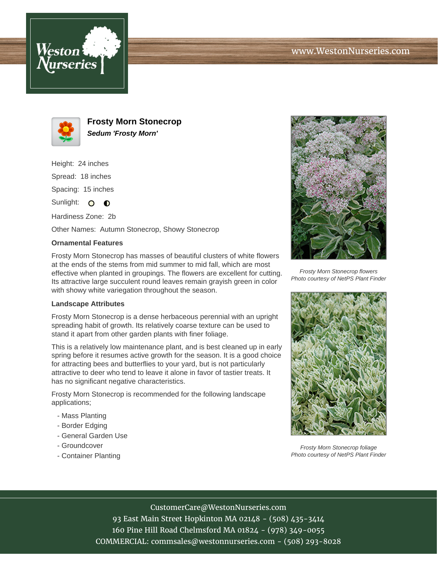



**Frosty Morn Stonecrop Sedum 'Frosty Morn'**

Height: 24 inches Spread: 18 inches

Spacing: 15 inches

Sunlight:  $\bullet$   $\bullet$ 

Hardiness Zone: 2b

Other Names: Autumn Stonecrop, Showy Stonecrop

## **Ornamental Features**

Frosty Morn Stonecrop has masses of beautiful clusters of white flowers at the ends of the stems from mid summer to mid fall, which are most effective when planted in groupings. The flowers are excellent for cutting. Its attractive large succulent round leaves remain grayish green in color with showy white variegation throughout the season.

## **Landscape Attributes**

Frosty Morn Stonecrop is a dense herbaceous perennial with an upright spreading habit of growth. Its relatively coarse texture can be used to stand it apart from other garden plants with finer foliage.

This is a relatively low maintenance plant, and is best cleaned up in early spring before it resumes active growth for the season. It is a good choice for attracting bees and butterflies to your yard, but is not particularly attractive to deer who tend to leave it alone in favor of tastier treats. It has no significant negative characteristics.

Frosty Morn Stonecrop is recommended for the following landscape applications;

- Mass Planting
- Border Edging
- General Garden Use
- Groundcover
- Container Planting



Frosty Morn Stonecrop flowers Photo courtesy of NetPS Plant Finder



Frosty Morn Stonecrop foliage Photo courtesy of NetPS Plant Finder

CustomerCare@WestonNurseries.com

93 East Main Street Hopkinton MA 02148 - (508) 435-3414 160 Pine Hill Road Chelmsford MA 01824 - (978) 349-0055 COMMERCIAL: commsales@westonnurseries.com - (508) 293-8028